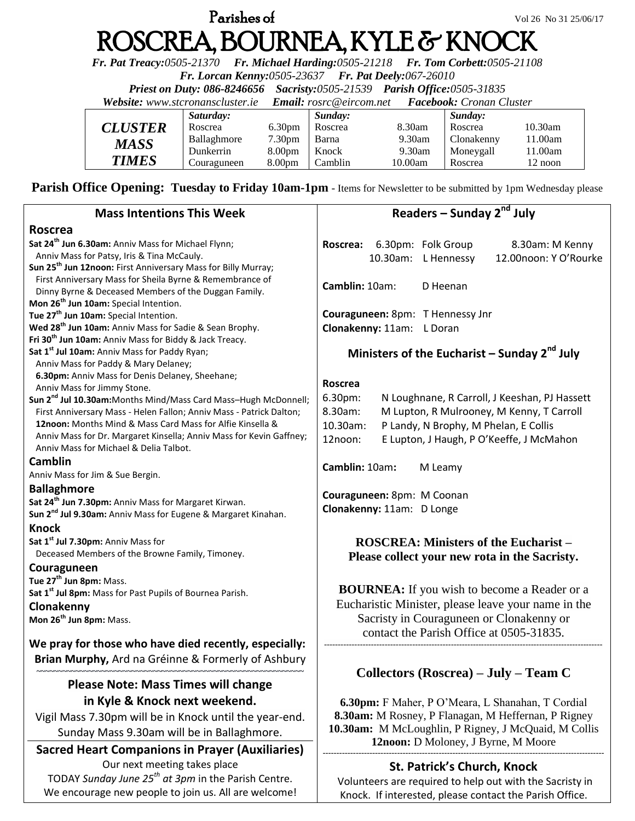# **Parishes of**  $V$ ol 26 No 31 25/06/17 ROSCREA, BOURNEA, KYLE & KNOCK

*Fr. Pat Treacy:0505-21370 Fr. Michael Harding:0505-21218 Fr. Tom Corbett:0505-21108* 

*Fr. Lorcan Kenny:0505-23637 Fr. Pat Deely:067-26010* 

*Priest on Duty: 086-8246656 Sacristy:0505-21539 Parish Office:0505-31835* 

*Website: [www.stcronanscluster.ie](http://www.stcronanscluster.ie/) Email: [rosrc@eircom.net](mailto:rosrc@eircom.net) Facebook: Cronan Cluster* 

|                | Saturday:   |                    | Sunday: |         | Sunday:    |            |
|----------------|-------------|--------------------|---------|---------|------------|------------|
| <b>CLUSTER</b> | Roscrea     | 6.30 <sub>pm</sub> | Roscrea | 8.30am  | Roscrea    | $10.30$ am |
| MASS           | Ballaghmore | 7.30 <sub>pm</sub> | Barna   | 9.30am  | Clonakenny | 11.00am    |
|                | Dunkerrin   | 8.00 <sub>pm</sub> | Knock   | 9.30am  | Moneygall  | l 1.00am   |
| <b>TIMES</b>   | Couraguneen | 8.00 <sub>pm</sub> | Camblin | 10.00am | Roscrea    | 12 noon    |

**Parish Office Opening: Tuesday to Friday 10am-1pm** - Items for Newsletter to be submitted by 1pm Wednesday please

| <b>Mass Intentions This Week</b>                                                                                                 | Readers - Sunday 2 <sup>nd</sup> July                                                                    |  |  |  |  |
|----------------------------------------------------------------------------------------------------------------------------------|----------------------------------------------------------------------------------------------------------|--|--|--|--|
| <b>Roscrea</b>                                                                                                                   |                                                                                                          |  |  |  |  |
| Sat 24 <sup>th</sup> Jun 6.30am: Anniv Mass for Michael Flynn;                                                                   | Roscrea: 6.30pm: Folk Group<br>8.30am: M Kenny                                                           |  |  |  |  |
| Anniv Mass for Patsy, Iris & Tina McCauly.                                                                                       | 12.00noon: Y O'Rourke<br>10.30am: L Hennessy                                                             |  |  |  |  |
| Sun 25 <sup>th</sup> Jun 12noon: First Anniversary Mass for Billy Murray;                                                        |                                                                                                          |  |  |  |  |
| First Anniversary Mass for Sheila Byrne & Remembrance of                                                                         | Camblin: 10am:                                                                                           |  |  |  |  |
| Dinny Byrne & Deceased Members of the Duggan Family.                                                                             | D Heenan                                                                                                 |  |  |  |  |
| Mon 26 <sup>th</sup> Jun 10am: Special Intention.                                                                                |                                                                                                          |  |  |  |  |
| Tue 27 <sup>th</sup> Jun 10am: Special Intention.                                                                                | Couraguneen: 8pm: T Hennessy Jnr                                                                         |  |  |  |  |
| Wed 28 <sup>th</sup> Jun 10am: Anniv Mass for Sadie & Sean Brophy.                                                               | Clonakenny: 11am: L Doran                                                                                |  |  |  |  |
| Fri 30 <sup>th</sup> Jun 10am: Anniv Mass for Biddy & Jack Treacy.                                                               |                                                                                                          |  |  |  |  |
| Sat 1 <sup>st</sup> Jul 10am: Anniv Mass for Paddy Ryan;                                                                         | Ministers of the Eucharist - Sunday $2^{nd}$ July                                                        |  |  |  |  |
| Anniv Mass for Paddy & Mary Delaney;                                                                                             |                                                                                                          |  |  |  |  |
| 6.30pm: Anniv Mass for Denis Delaney, Sheehane;                                                                                  | Roscrea                                                                                                  |  |  |  |  |
| Anniv Mass for Jimmy Stone.                                                                                                      | 6.30pm:<br>N Loughnane, R Carroll, J Keeshan, PJ Hassett                                                 |  |  |  |  |
| Sun 2 <sup>nd</sup> Jul 10.30am: Months Mind/Mass Card Mass-Hugh McDonnell;                                                      | 8.30am:<br>M Lupton, R Mulrooney, M Kenny, T Carroll                                                     |  |  |  |  |
| First Anniversary Mass - Helen Fallon; Anniv Mass - Patrick Dalton;<br>12noon: Months Mind & Mass Card Mass for Alfie Kinsella & |                                                                                                          |  |  |  |  |
| Anniv Mass for Dr. Margaret Kinsella; Anniv Mass for Kevin Gaffney;                                                              | 10.30am:<br>P Landy, N Brophy, M Phelan, E Collis                                                        |  |  |  |  |
| Anniv Mass for Michael & Delia Talbot.                                                                                           | 12noon:<br>E Lupton, J Haugh, P O'Keeffe, J McMahon                                                      |  |  |  |  |
| Camblin                                                                                                                          |                                                                                                          |  |  |  |  |
|                                                                                                                                  | Camblin: 10am:<br>M Leamy                                                                                |  |  |  |  |
| Anniv Mass for Jim & Sue Bergin.                                                                                                 |                                                                                                          |  |  |  |  |
| <b>Ballaghmore</b>                                                                                                               | Couraguneen: 8pm: M Coonan                                                                               |  |  |  |  |
| Sat 24 <sup>th</sup> Jun 7.30pm: Anniv Mass for Margaret Kirwan.                                                                 | Clonakenny: 11am: D Longe                                                                                |  |  |  |  |
| Sun 2 <sup>nd</sup> Jul 9.30am: Anniv Mass for Eugene & Margaret Kinahan.                                                        |                                                                                                          |  |  |  |  |
| <b>Knock</b>                                                                                                                     |                                                                                                          |  |  |  |  |
| Sat 1st Jul 7.30pm: Anniv Mass for                                                                                               | <b>ROSCREA: Ministers of the Eucharist –</b>                                                             |  |  |  |  |
| Deceased Members of the Browne Family, Timoney.                                                                                  | Please collect your new rota in the Sacristy.                                                            |  |  |  |  |
| Couraguneen                                                                                                                      |                                                                                                          |  |  |  |  |
| Tue 27 <sup>th</sup> Jun 8pm: Mass.                                                                                              |                                                                                                          |  |  |  |  |
| Sat 1 <sup>st</sup> Jul 8pm: Mass for Past Pupils of Bournea Parish.                                                             | <b>BOURNEA:</b> If you wish to become a Reader or a                                                      |  |  |  |  |
| Clonakenny                                                                                                                       | Eucharistic Minister, please leave your name in the                                                      |  |  |  |  |
| Mon 26 <sup>th</sup> Jun 8pm: Mass.                                                                                              | Sacristy in Couraguneen or Clonakenny or                                                                 |  |  |  |  |
|                                                                                                                                  | contact the Parish Office at 0505-31835.                                                                 |  |  |  |  |
| We pray for those who have died recently, especially:                                                                            |                                                                                                          |  |  |  |  |
| Brian Murphy, Ard na Gréinne & Formerly of Ashbury                                                                               |                                                                                                          |  |  |  |  |
|                                                                                                                                  | Collectors (Roscrea) - July - Team C                                                                     |  |  |  |  |
| <b>Please Note: Mass Times will change</b>                                                                                       |                                                                                                          |  |  |  |  |
| in Kyle & Knock next weekend.                                                                                                    | 6.30pm: F Maher, P O'Meara, L Shanahan, T Cordial<br>8.30am: M Rosney, P Flanagan, M Heffernan, P Rigney |  |  |  |  |
| Vigil Mass 7.30pm will be in Knock until the year-end.                                                                           |                                                                                                          |  |  |  |  |
|                                                                                                                                  | 10.30am: M McLoughlin, P Rigney, J McQuaid, M Collis                                                     |  |  |  |  |
| Sunday Mass 9.30am will be in Ballaghmore.                                                                                       | 12noon: D Moloney, J Byrne, M Moore                                                                      |  |  |  |  |
| <b>Sacred Heart Companions in Prayer (Auxiliaries)</b>                                                                           |                                                                                                          |  |  |  |  |
| Our next meeting takes place                                                                                                     | St. Patrick's Church, Knock                                                                              |  |  |  |  |
|                                                                                                                                  |                                                                                                          |  |  |  |  |

TODAY *Sunday June 25th at 3pm* in the Parish Centre. We encourage new people to join us. All are welcome! Volunteers are required to help out with the Sacristy in Knock. If interested, please contact the Parish Office.